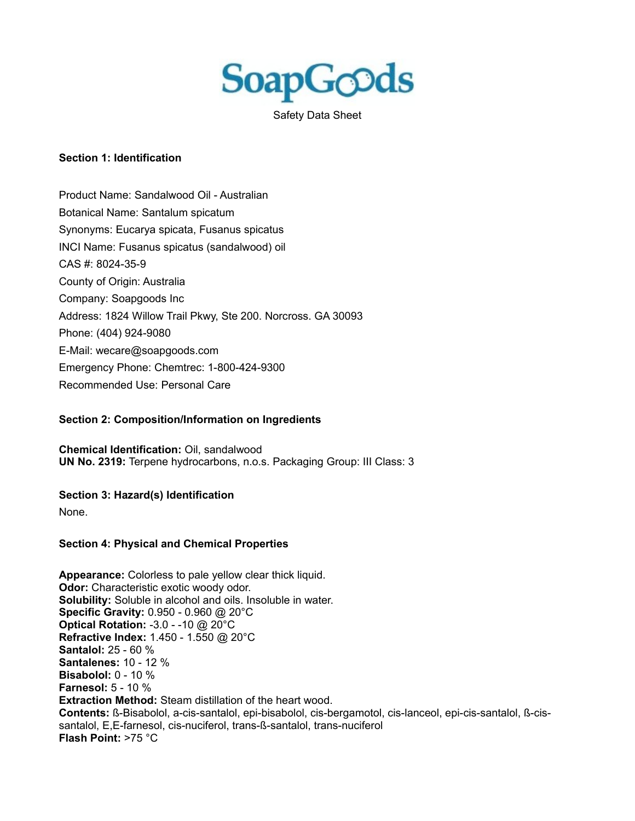

Safety Data Sheet

#### **Section 1: Identification**

Product Name: Sandalwood Oil - Australian Botanical Name: Santalum spicatum Synonyms: Eucarya spicata, Fusanus spicatus INCI Name: Fusanus spicatus (sandalwood) oil CAS #: 8024-35-9 County of Origin: Australia Company: Soapgoods Inc Address: 1824 Willow Trail Pkwy, Ste 200. Norcross. GA 30093 Phone: (404) 924-9080 E-Mail: wecare@soapgoods.com Emergency Phone: Chemtrec: 1-800-424-9300 Recommended Use: Personal Care

### **Section 2: Composition/Information on Ingredients**

**Chemical Identification:** Oil, sandalwood **UN No. 2319:** Terpene hydrocarbons, n.o.s. Packaging Group: III Class: 3

#### **Section 3: Hazard(s) Identification**

None.

#### **Section 4: Physical and Chemical Properties**

**Appearance:** Colorless to pale yellow clear thick liquid. **Odor:** Characteristic exotic woody odor. **Solubility:** Soluble in alcohol and oils. Insoluble in water. **Specific Gravity:** 0.950 - 0.960 @ 20°C **Optical Rotation:** -3.0 - -10 @ 20°C **Refractive Index:** 1.450 - 1.550 @ 20°C **Santalol:** 25 - 60 % **Santalenes:** 10 - 12 % **Bisabolol:** 0 - 10 % **Farnesol:** 5 - 10 % **Extraction Method:** Steam distillation of the heart wood. **Contents:** ß-Bisabolol, a-cis-santalol, epi-bisabolol, cis-bergamotol, cis-lanceol, epi-cis-santalol, ß-cissantalol, E,E-farnesol, cis-nuciferol, trans-ß-santalol, trans-nuciferol **Flash Point:** >75 °C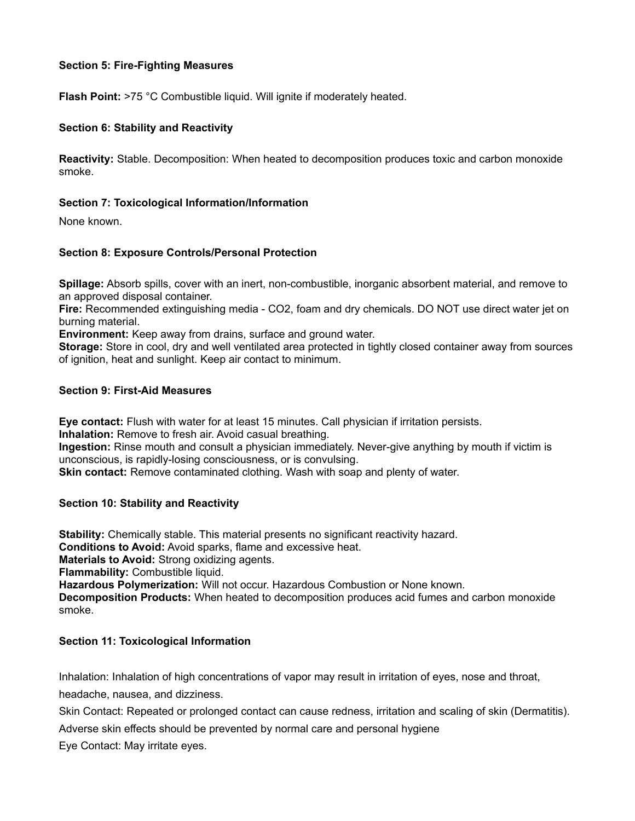## **Section 5: Fire-Fighting Measures**

**Flash Point:** >75 °C Combustible liquid. Will ignite if moderately heated.

## **Section 6: Stability and Reactivity**

**Reactivity:** Stable. Decomposition: When heated to decomposition produces toxic and carbon monoxide smoke.

## **Section 7: Toxicological Information/Information**

None known.

## **Section 8: Exposure Controls/Personal Protection**

**Spillage:** Absorb spills, cover with an inert, non-combustible, inorganic absorbent material, and remove to an approved disposal container.

**Fire:** Recommended extinguishing media - CO2, foam and dry chemicals. DO NOT use direct water jet on burning material.

**Environment:** Keep away from drains, surface and ground water.

**Storage:** Store in cool, dry and well ventilated area protected in tightly closed container away from sources of ignition, heat and sunlight. Keep air contact to minimum.

### **Section 9: First-Aid Measures**

**Eye contact:** Flush with water for at least 15 minutes. Call physician if irritation persists. **Inhalation:** Remove to fresh air. Avoid casual breathing.

**Ingestion:** Rinse mouth and consult a physician immediately. Never-give anything by mouth if victim is unconscious, is rapidly-losing consciousness, or is convulsing.

**Skin contact:** Remove contaminated clothing. Wash with soap and plenty of water.

### **Section 10: Stability and Reactivity**

**Stability:** Chemically stable. This material presents no significant reactivity hazard. **Conditions to Avoid:** Avoid sparks, flame and excessive heat. **Materials to Avoid:** Strong oxidizing agents. **Flammability:** Combustible liquid. **Hazardous Polymerization:** Will not occur. Hazardous Combustion or None known. **Decomposition Products:** When heated to decomposition produces acid fumes and carbon monoxide smoke.

## **Section 11: Toxicological Information**

Inhalation: Inhalation of high concentrations of vapor may result in irritation of eyes, nose and throat, headache, nausea, and dizziness.

Skin Contact: Repeated or prolonged contact can cause redness, irritation and scaling of skin (Dermatitis).

Adverse skin effects should be prevented by normal care and personal hygiene

Eye Contact: May irritate eyes.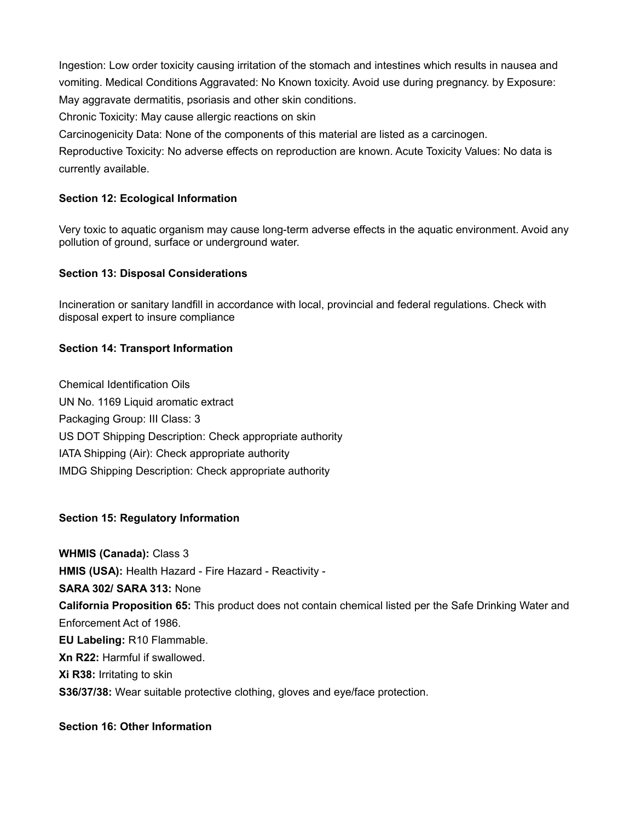Ingestion: Low order toxicity causing irritation of the stomach and intestines which results in nausea and vomiting. Medical Conditions Aggravated: No Known toxicity. Avoid use during pregnancy. by Exposure: May aggravate dermatitis, psoriasis and other skin conditions.

Chronic Toxicity: May cause allergic reactions on skin

Carcinogenicity Data: None of the components of this material are listed as a carcinogen.

Reproductive Toxicity: No adverse effects on reproduction are known. Acute Toxicity Values: No data is currently available.

## **Section 12: Ecological Information**

Very toxic to aquatic organism may cause long-term adverse effects in the aquatic environment. Avoid any pollution of ground, surface or underground water.

## **Section 13: Disposal Considerations**

Incineration or sanitary landfill in accordance with local, provincial and federal regulations. Check with disposal expert to insure compliance

# **Section 14: Transport Information**

Chemical Identification Oils UN No. 1169 Liquid aromatic extract Packaging Group: III Class: 3 US DOT Shipping Description: Check appropriate authority IATA Shipping (Air): Check appropriate authority IMDG Shipping Description: Check appropriate authority

# **Section 15: Regulatory Information**

**WHMIS (Canada):** Class 3 **HMIS (USA):** Health Hazard - Fire Hazard - Reactivity - **SARA 302/ SARA 313:** None **California Proposition 65:** This product does not contain chemical listed per the Safe Drinking Water and Enforcement Act of 1986. **EU Labeling:** R10 Flammable. **Xn R22:** Harmful if swallowed. **Xi R38:** Irritating to skin **S36/37/38:** Wear suitable protective clothing, gloves and eye/face protection.

# **Section 16: Other Information**